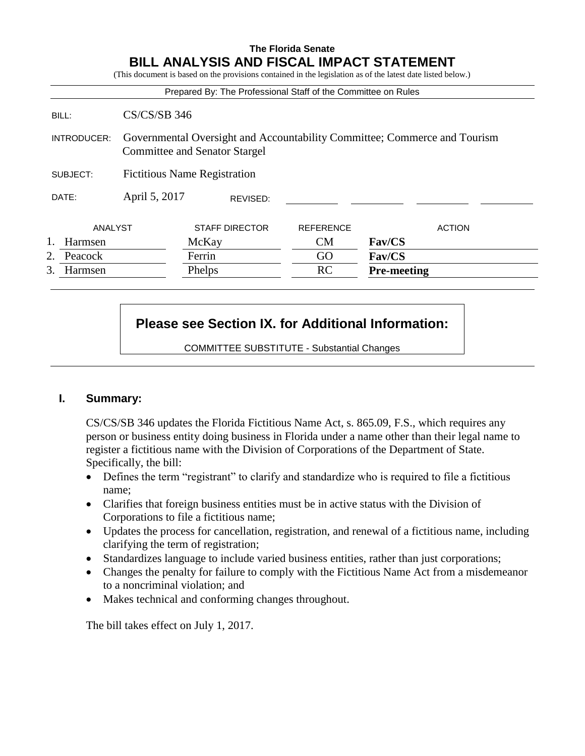### **The Florida Senate BILL ANALYSIS AND FISCAL IMPACT STATEMENT**

(This document is based on the provisions contained in the legislation as of the latest date listed below.)

|               |                                                                                                                   | Prepared By: The Professional Staff of the Committee on Rules |                  |                    |
|---------------|-------------------------------------------------------------------------------------------------------------------|---------------------------------------------------------------|------------------|--------------------|
| BILL:         | $CS/CS/SB$ 346                                                                                                    |                                                               |                  |                    |
| INTRODUCER:   | Governmental Oversight and Accountability Committee; Commerce and Tourism<br><b>Committee and Senator Stargel</b> |                                                               |                  |                    |
| SUBJECT:      | <b>Fictitious Name Registration</b>                                                                               |                                                               |                  |                    |
| DATE:         | April 5, 2017<br>REVISED:                                                                                         |                                                               |                  |                    |
| ANALYST       |                                                                                                                   | <b>STAFF DIRECTOR</b>                                         | <b>REFERENCE</b> | <b>ACTION</b>      |
| Harmsen       |                                                                                                                   | McKay                                                         | CM               | Fav/CS             |
| 2.<br>Peacock |                                                                                                                   | Ferrin                                                        | GO               | <b>Fav/CS</b>      |
| 3.<br>Harmsen |                                                                                                                   | Phelps                                                        | RC               | <b>Pre-meeting</b> |

# **Please see Section IX. for Additional Information:**

COMMITTEE SUBSTITUTE - Substantial Changes

### **I. Summary:**

CS/CS/SB 346 updates the Florida Fictitious Name Act, s. 865.09, F.S., which requires any person or business entity doing business in Florida under a name other than their legal name to register a fictitious name with the Division of Corporations of the Department of State. Specifically, the bill:

- Defines the term "registrant" to clarify and standardize who is required to file a fictitious name;
- Clarifies that foreign business entities must be in active status with the Division of Corporations to file a fictitious name;
- Updates the process for cancellation, registration, and renewal of a fictitious name, including clarifying the term of registration;
- Standardizes language to include varied business entities, rather than just corporations;
- Changes the penalty for failure to comply with the Fictitious Name Act from a misdemeanor to a noncriminal violation; and
- Makes technical and conforming changes throughout.

The bill takes effect on July 1, 2017.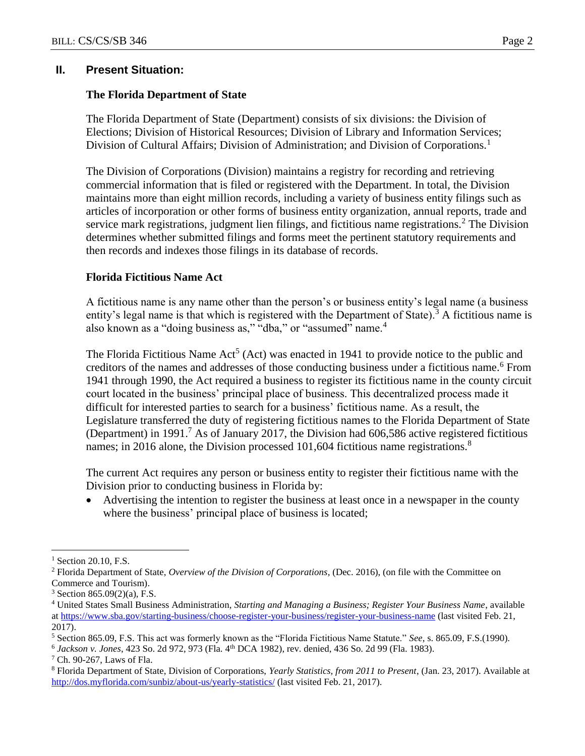### **The Florida Department of State**

The Florida Department of State (Department) consists of six divisions: the Division of Elections; Division of Historical Resources; Division of Library and Information Services; Division of Cultural Affairs; Division of Administration; and Division of Corporations.<sup>1</sup>

The Division of Corporations (Division) maintains a registry for recording and retrieving commercial information that is filed or registered with the Department. In total, the Division maintains more than eight million records, including a variety of business entity filings such as articles of incorporation or other forms of business entity organization, annual reports, trade and service mark registrations, judgment lien filings, and fictitious name registrations.<sup>2</sup> The Division determines whether submitted filings and forms meet the pertinent statutory requirements and then records and indexes those filings in its database of records.

### **Florida Fictitious Name Act**

A fictitious name is any name other than the person's or business entity's legal name (a business entity's legal name is that which is registered with the Department of State).<sup>3</sup> A fictitious name is also known as a "doing business as," "dba," or "assumed" name.<sup>4</sup>

The Florida Fictitious Name  $Act<sup>5</sup> (Act)$  was enacted in 1941 to provide notice to the public and creditors of the names and addresses of those conducting business under a fictitious name.<sup>6</sup> From 1941 through 1990, the Act required a business to register its fictitious name in the county circuit court located in the business' principal place of business. This decentralized process made it difficult for interested parties to search for a business' fictitious name. As a result, the Legislature transferred the duty of registering fictitious names to the Florida Department of State (Department) in 1991.<sup>7</sup> As of January 2017, the Division had 606,586 active registered fictitious names; in 2016 alone, the Division processed 101,604 fictitious name registrations.<sup>8</sup>

The current Act requires any person or business entity to register their fictitious name with the Division prior to conducting business in Florida by:

 Advertising the intention to register the business at least once in a newspaper in the county where the business' principal place of business is located;

<sup>&</sup>lt;sup>1</sup> Section 20.10, F.S.

<sup>2</sup> Florida Department of State, *Overview of the Division of Corporations*, (Dec. 2016), (on file with the Committee on Commerce and Tourism).

 $3$  Section 865.09(2)(a), F.S.

<sup>4</sup> United States Small Business Administration, *Starting and Managing a Business; Register Your Business Name*, available a[t https://www.sba.gov/starting-business/choose-register-your-business/register-your-business-name](https://www.sba.gov/starting-business/choose-register-your-business/register-your-business-name) (last visited Feb. 21, 2017).

<sup>5</sup> Section 865.09, F.S. This act was formerly known as the "Florida Fictitious Name Statute." *See*, s. 865.09, F.S.(1990).

<sup>6</sup> *Jackson v. Jones*, 423 So. 2d 972, 973 (Fla. 4th DCA 1982), rev. denied, 436 So. 2d 99 (Fla. 1983).

<sup>7</sup> Ch. 90-267, Laws of Fla.

<sup>8</sup> Florida Department of State, Division of Corporations, *Yearly Statistics, from 2011 to Present*, (Jan. 23, 2017). Available at <http://dos.myflorida.com/sunbiz/about-us/yearly-statistics/> (last visited Feb. 21, 2017).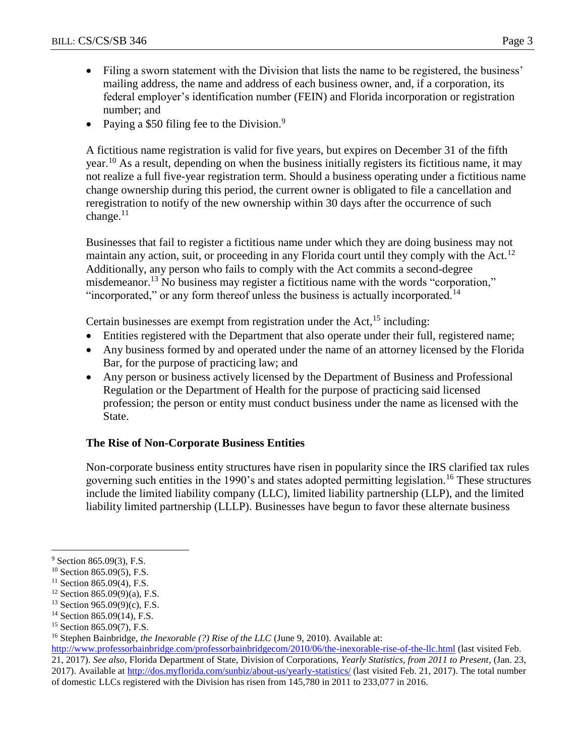- Filing a sworn statement with the Division that lists the name to be registered, the business' mailing address, the name and address of each business owner, and, if a corporation, its federal employer's identification number (FEIN) and Florida incorporation or registration number; and
- Paying a \$50 filing fee to the Division.<sup>9</sup>

A fictitious name registration is valid for five years, but expires on December 31 of the fifth year.<sup>10</sup> As a result, depending on when the business initially registers its fictitious name, it may not realize a full five-year registration term. Should a business operating under a fictitious name change ownership during this period, the current owner is obligated to file a cancellation and reregistration to notify of the new ownership within 30 days after the occurrence of such change.<sup>11</sup>

Businesses that fail to register a fictitious name under which they are doing business may not maintain any action, suit, or proceeding in any Florida court until they comply with the Act.<sup>12</sup> Additionally, any person who fails to comply with the Act commits a second-degree misdemeanor.<sup>13</sup> No business may register a fictitious name with the words "corporation," "incorporated," or any form thereof unless the business is actually incorporated.<sup>14</sup>

Certain businesses are exempt from registration under the Act,  $15$  including:

- Entities registered with the Department that also operate under their full, registered name;
- Any business formed by and operated under the name of an attorney licensed by the Florida Bar, for the purpose of practicing law; and
- Any person or business actively licensed by the Department of Business and Professional Regulation or the Department of Health for the purpose of practicing said licensed profession; the person or entity must conduct business under the name as licensed with the State.

## **The Rise of Non-Corporate Business Entities**

Non-corporate business entity structures have risen in popularity since the IRS clarified tax rules governing such entities in the 1990's and states adopted permitting legislation.<sup>16</sup> These structures include the limited liability company (LLC), limited liability partnership (LLP), and the limited liability limited partnership (LLLP). Businesses have begun to favor these alternate business

<sup>&</sup>lt;sup>9</sup> Section 865.09(3), F.S.

<sup>&</sup>lt;sup>10</sup> Section 865.09(5), F.S.

 $11$  Section 865.09(4), F.S.

 $12$  Section 865.09(9)(a), F.S.

<sup>13</sup> Section 965.09(9)(c), F.S.

<sup>&</sup>lt;sup>14</sup> Section 865.09(14), F.S.

<sup>15</sup> Section 865.09(7), F.S.

<sup>&</sup>lt;sup>16</sup> Stephen Bainbridge, *the Inexorable (?) Rise of the LLC* (June 9, 2010). Available at:

<http://www.professorbainbridge.com/professorbainbridgecom/2010/06/the-inexorable-rise-of-the-llc.html> (last visited Feb. 21, 2017). *See also*, Florida Department of State, Division of Corporations, *Yearly Statistics, from 2011 to Present*, (Jan. 23, 2017). Available at<http://dos.myflorida.com/sunbiz/about-us/yearly-statistics/> (last visited Feb. 21, 2017). The total number of domestic LLCs registered with the Division has risen from 145,780 in 2011 to 233,077 in 2016.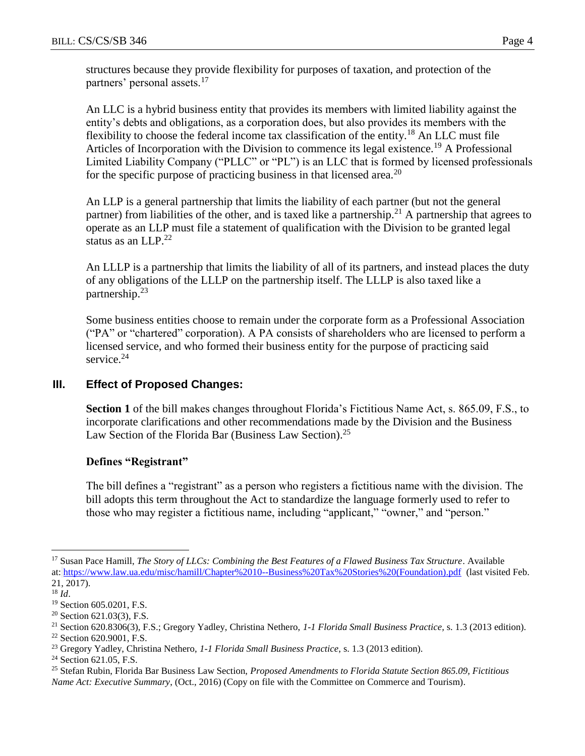structures because they provide flexibility for purposes of taxation, and protection of the partners' personal assets.<sup>17</sup>

An LLC is a hybrid business entity that provides its members with limited liability against the entity's debts and obligations, as a corporation does, but also provides its members with the flexibility to choose the federal income tax classification of the entity.<sup>18</sup> An LLC must file Articles of Incorporation with the Division to commence its legal existence.<sup>19</sup> A Professional Limited Liability Company ("PLLC" or "PL") is an LLC that is formed by licensed professionals for the specific purpose of practicing business in that licensed area.<sup>20</sup>

An LLP is a general partnership that limits the liability of each partner (but not the general partner) from liabilities of the other, and is taxed like a partnership.<sup>21</sup> A partnership that agrees to operate as an LLP must file a statement of qualification with the Division to be granted legal status as an LLP.<sup>22</sup>

An LLLP is a partnership that limits the liability of all of its partners, and instead places the duty of any obligations of the LLLP on the partnership itself. The LLLP is also taxed like a partnership.<sup>23</sup>

Some business entities choose to remain under the corporate form as a Professional Association ("PA" or "chartered" corporation). A PA consists of shareholders who are licensed to perform a licensed service, and who formed their business entity for the purpose of practicing said service.<sup>24</sup>

### **III. Effect of Proposed Changes:**

**Section 1** of the bill makes changes throughout Florida's Fictitious Name Act, s. 865.09, F.S., to incorporate clarifications and other recommendations made by the Division and the Business Law Section of the Florida Bar (Business Law Section).<sup>25</sup>

### **Defines "Registrant"**

The bill defines a "registrant" as a person who registers a fictitious name with the division. The bill adopts this term throughout the Act to standardize the language formerly used to refer to those who may register a fictitious name, including "applicant," "owner," and "person."

<sup>17</sup> Susan Pace Hamill, *The Story of LLCs: Combining the Best Features of a Flawed Business Tax Structure*. Available at: [https://www.law.ua.edu/misc/hamill/Chapter%2010--Business%20Tax%20Stories%20\(Foundation\).pdf](https://www.law.ua.edu/misc/hamill/Chapter%2010--Business%20Tax%20Stories%20(Foundation).pdf) (last visited Feb. 21, 2017).

<sup>18</sup> *Id*.

<sup>&</sup>lt;sup>19</sup> Section 605.0201, F.S.

 $20$  Section 621.03(3), F.S.

<sup>21</sup> Section 620.8306(3), F.S.; Gregory Yadley, Christina Nethero, *1-1 Florida Small Business Practice,* s. 1.3 (2013 edition).

<sup>22</sup> Section 620.9001, F.S.

<sup>23</sup> Gregory Yadley, Christina Nethero, *1-1 Florida Small Business Practice*, s. 1.3 (2013 edition).

<sup>&</sup>lt;sup>24</sup> Section 621.05, F.S.

<sup>25</sup> Stefan Rubin, Florida Bar Business Law Section, *Proposed Amendments to Florida Statute Section 865.09, Fictitious Name Act: Executive Summary*, (Oct., 2016) (Copy on file with the Committee on Commerce and Tourism).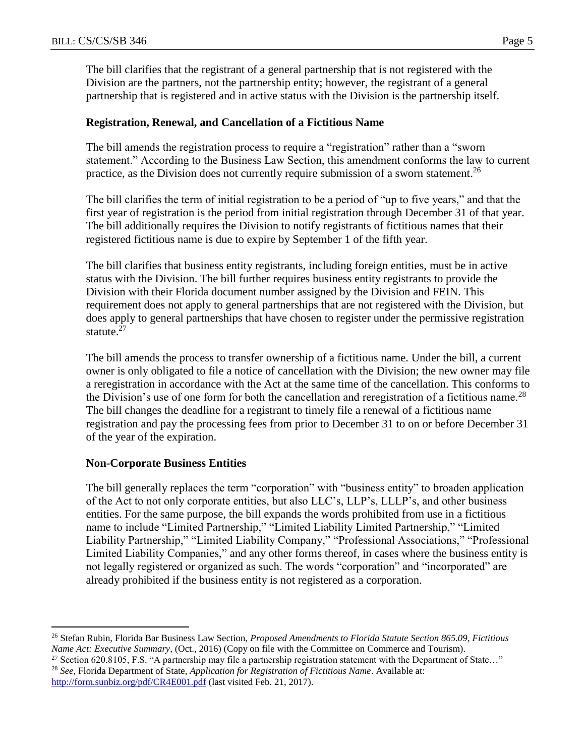The bill clarifies that the registrant of a general partnership that is not registered with the Division are the partners, not the partnership entity; however, the registrant of a general partnership that is registered and in active status with the Division is the partnership itself.

#### **Registration, Renewal, and Cancellation of a Fictitious Name**

The bill amends the registration process to require a "registration" rather than a "sworn statement." According to the Business Law Section, this amendment conforms the law to current practice, as the Division does not currently require submission of a sworn statement.<sup>26</sup>

The bill clarifies the term of initial registration to be a period of "up to five years," and that the first year of registration is the period from initial registration through December 31 of that year. The bill additionally requires the Division to notify registrants of fictitious names that their registered fictitious name is due to expire by September 1 of the fifth year.

The bill clarifies that business entity registrants, including foreign entities, must be in active status with the Division. The bill further requires business entity registrants to provide the Division with their Florida document number assigned by the Division and FEIN. This requirement does not apply to general partnerships that are not registered with the Division, but does apply to general partnerships that have chosen to register under the permissive registration statute. $27$ 

The bill amends the process to transfer ownership of a fictitious name. Under the bill, a current owner is only obligated to file a notice of cancellation with the Division; the new owner may file a reregistration in accordance with the Act at the same time of the cancellation. This conforms to the Division's use of one form for both the cancellation and reregistration of a fictitious name.<sup>28</sup> The bill changes the deadline for a registrant to timely file a renewal of a fictitious name registration and pay the processing fees from prior to December 31 to on or before December 31 of the year of the expiration.

#### **Non-Corporate Business Entities**

 $\overline{a}$ 

The bill generally replaces the term "corporation" with "business entity" to broaden application of the Act to not only corporate entities, but also LLC's, LLP's, LLLP's, and other business entities. For the same purpose, the bill expands the words prohibited from use in a fictitious name to include "Limited Partnership," "Limited Liability Limited Partnership," "Limited Liability Partnership," "Limited Liability Company," "Professional Associations," "Professional Limited Liability Companies," and any other forms thereof, in cases where the business entity is not legally registered or organized as such. The words "corporation" and "incorporated" are already prohibited if the business entity is not registered as a corporation.

<http://form.sunbiz.org/pdf/CR4E001.pdf> (last visited Feb. 21, 2017).

<sup>26</sup> Stefan Rubin, Florida Bar Business Law Section, *Proposed Amendments to Florida Statute Section 865.09, Fictitious Name Act: Executive Summary*, (Oct., 2016) (Copy on file with the Committee on Commerce and Tourism).

<sup>&</sup>lt;sup>27</sup> Section 620.8105, F.S. "A partnership may file a partnership registration statement with the Department of State..." <sup>28</sup> *See*, Florida Department of State, *Application for Registration of Fictitious Name*. Available at: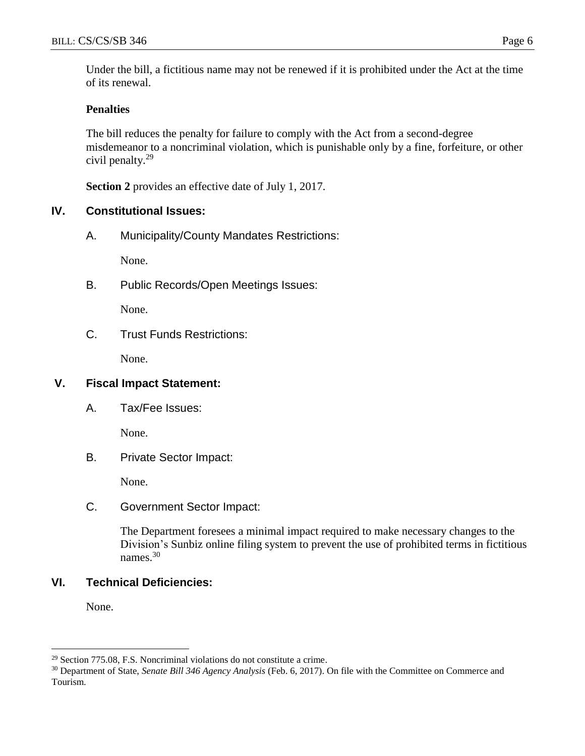Under the bill, a fictitious name may not be renewed if it is prohibited under the Act at the time of its renewal.

#### **Penalties**

The bill reduces the penalty for failure to comply with the Act from a second-degree misdemeanor to a noncriminal violation, which is punishable only by a fine, forfeiture, or other civil penalty.<sup>29</sup>

**Section 2** provides an effective date of July 1, 2017.

### **IV. Constitutional Issues:**

A. Municipality/County Mandates Restrictions:

None.

B. Public Records/Open Meetings Issues:

None.

C. Trust Funds Restrictions:

None.

#### **V. Fiscal Impact Statement:**

A. Tax/Fee Issues:

None.

B. Private Sector Impact:

None.

C. Government Sector Impact:

The Department foresees a minimal impact required to make necessary changes to the Division's Sunbiz online filing system to prevent the use of prohibited terms in fictitious names. 30

#### **VI. Technical Deficiencies:**

None.

<sup>29</sup> Section 775.08, F.S. Noncriminal violations do not constitute a crime.

<sup>30</sup> Department of State, *Senate Bill 346 Agency Analysis* (Feb. 6, 2017). On file with the Committee on Commerce and Tourism.